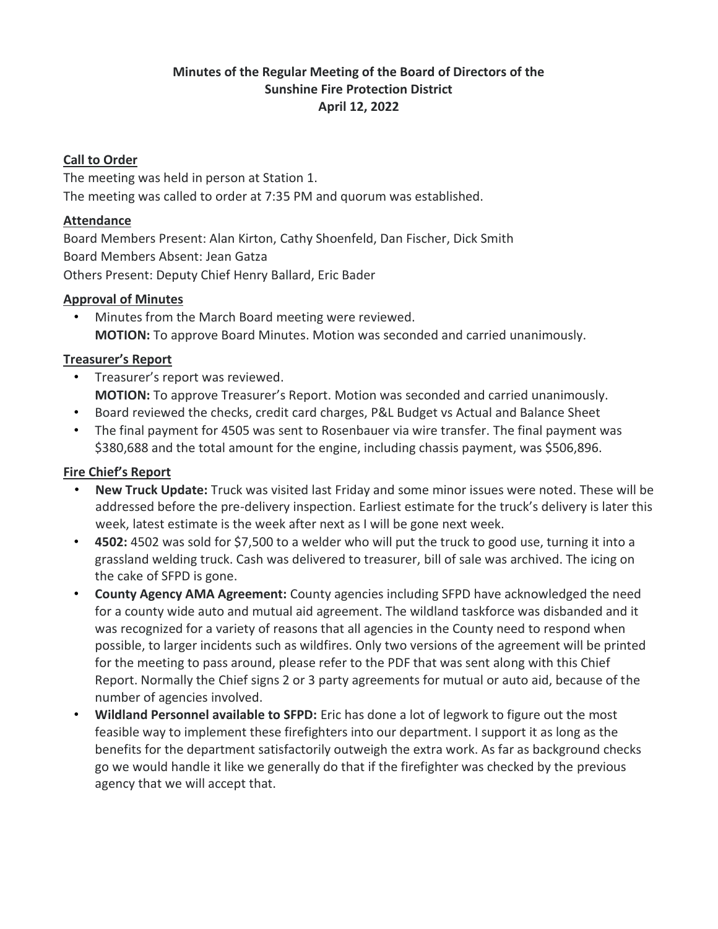### **Minutes of the Regular Meeting of the Board of Directors of the Sunshine Fire Protection District April 12, 2022**

#### **Call to Order**

The meeting was held in person at Station 1. The meeting was called to order at 7:35 PM and quorum was established.

#### **Attendance**

Board Members Present: Alan Kirton, Cathy Shoenfeld, Dan Fischer, Dick Smith Board Members Absent: Jean Gatza Others Present: Deputy Chief Henry Ballard, Eric Bader

#### **Approval of Minutes**

• Minutes from the March Board meeting were reviewed. **MOTION:** To approve Board Minutes. Motion was seconded and carried unanimously.

#### **Treasurer's Report**

- Treasurer's report was reviewed. **MOTION:** To approve Treasurer's Report. Motion was seconded and carried unanimously.
- Board reviewed the checks, credit card charges, P&L Budget vs Actual and Balance Sheet
- The final payment for 4505 was sent to Rosenbauer via wire transfer. The final payment was \$380,688 and the total amount for the engine, including chassis payment, was \$506,896.

#### **Fire Chief's Report**

- **New Truck Update:** Truck was visited last Friday and some minor issues were noted. These will be addressed before the pre-delivery inspection. Earliest estimate for the truck's delivery is later this week, latest estimate is the week after next as I will be gone next week.
- **4502:** 4502 was sold for \$7,500 to a welder who will put the truck to good use, turning it into a grassland welding truck. Cash was delivered to treasurer, bill of sale was archived. The icing on the cake of SFPD is gone.
- **County Agency AMA Agreement:** County agencies including SFPD have acknowledged the need for a county wide auto and mutual aid agreement. The wildland taskforce was disbanded and it was recognized for a variety of reasons that all agencies in the County need to respond when possible, to larger incidents such as wildfires. Only two versions of the agreement will be printed for the meeting to pass around, please refer to the PDF that was sent along with this Chief Report. Normally the Chief signs 2 or 3 party agreements for mutual or auto aid, because of the number of agencies involved.
- **Wildland Personnel available to SFPD:** Eric has done a lot of legwork to figure out the most feasible way to implement these firefighters into our department. I support it as long as the benefits for the department satisfactorily outweigh the extra work. As far as background checks go we would handle it like we generally do that if the firefighter was checked by the previous agency that we will accept that.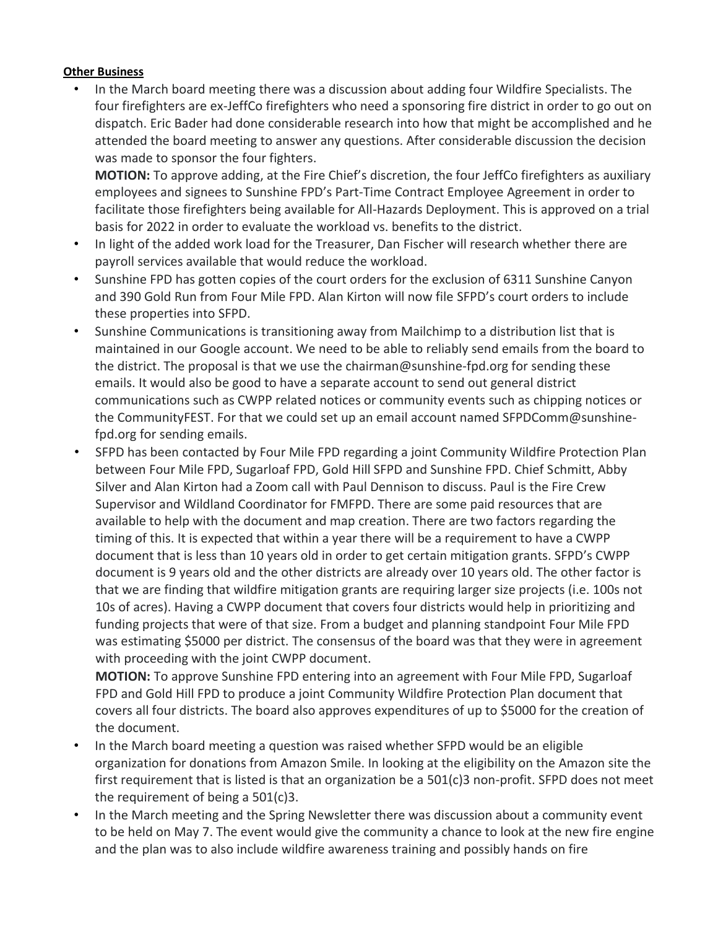#### **Other Business**

• In the March board meeting there was a discussion about adding four Wildfire Specialists. The four firefighters are ex-JeffCo firefighters who need a sponsoring fire district in order to go out on dispatch. Eric Bader had done considerable research into how that might be accomplished and he attended the board meeting to answer any questions. After considerable discussion the decision was made to sponsor the four fighters.

**MOTION:** To approve adding, at the Fire Chief's discretion, the four JeffCo firefighters as auxiliary employees and signees to Sunshine FPD's Part-Time Contract Employee Agreement in order to facilitate those firefighters being available for All-Hazards Deployment. This is approved on a trial basis for 2022 in order to evaluate the workload vs. benefits to the district.

- In light of the added work load for the Treasurer, Dan Fischer will research whether there are payroll services available that would reduce the workload.
- Sunshine FPD has gotten copies of the court orders for the exclusion of 6311 Sunshine Canyon and 390 Gold Run from Four Mile FPD. Alan Kirton will now file SFPD's court orders to include these properties into SFPD.
- Sunshine Communications is transitioning away from Mailchimp to a distribution list that is maintained in our Google account. We need to be able to reliably send emails from the board to the district. The proposal is that we use the chairman@sunshine-fpd.org for sending these emails. It would also be good to have a separate account to send out general district communications such as CWPP related notices or community events such as chipping notices or the CommunityFEST. For that we could set up an email account named SFPDComm@sunshinefpd.org for sending emails.
- SFPD has been contacted by Four Mile FPD regarding a joint Community Wildfire Protection Plan between Four Mile FPD, Sugarloaf FPD, Gold Hill SFPD and Sunshine FPD. Chief Schmitt, Abby Silver and Alan Kirton had a Zoom call with Paul Dennison to discuss. Paul is the Fire Crew Supervisor and Wildland Coordinator for FMFPD. There are some paid resources that are available to help with the document and map creation. There are two factors regarding the timing of this. It is expected that within a year there will be a requirement to have a CWPP document that is less than 10 years old in order to get certain mitigation grants. SFPD's CWPP document is 9 years old and the other districts are already over 10 years old. The other factor is that we are finding that wildfire mitigation grants are requiring larger size projects (i.e. 100s not 10s of acres). Having a CWPP document that covers four districts would help in prioritizing and funding projects that were of that size. From a budget and planning standpoint Four Mile FPD was estimating \$5000 per district. The consensus of the board was that they were in agreement with proceeding with the joint CWPP document.

**MOTION:** To approve Sunshine FPD entering into an agreement with Four Mile FPD, Sugarloaf FPD and Gold Hill FPD to produce a joint Community Wildfire Protection Plan document that covers all four districts. The board also approves expenditures of up to \$5000 for the creation of the document.

- In the March board meeting a question was raised whether SFPD would be an eligible organization for donations from Amazon Smile. In looking at the eligibility on the Amazon site the first requirement that is listed is that an organization be a 501(c)3 non-profit. SFPD does not meet the requirement of being a 501(c)3.
- In the March meeting and the Spring Newsletter there was discussion about a community event to be held on May 7. The event would give the community a chance to look at the new fire engine and the plan was to also include wildfire awareness training and possibly hands on fire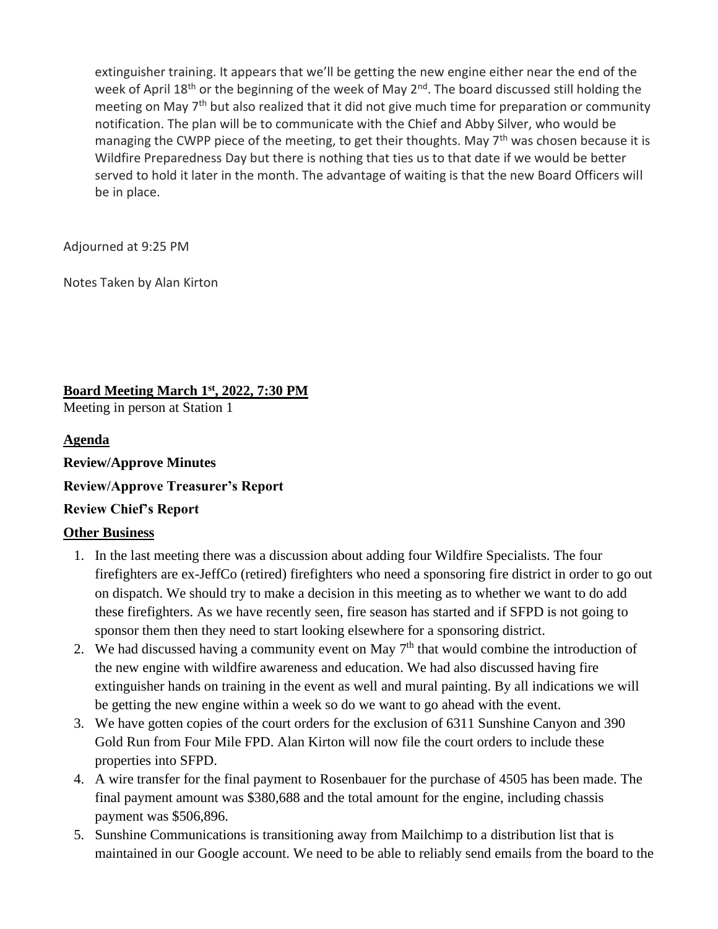extinguisher training. It appears that we'll be getting the new engine either near the end of the week of April 18<sup>th</sup> or the beginning of the week of May 2<sup>nd</sup>. The board discussed still holding the meeting on May 7<sup>th</sup> but also realized that it did not give much time for preparation or community notification. The plan will be to communicate with the Chief and Abby Silver, who would be managing the CWPP piece of the meeting, to get their thoughts. May  $7<sup>th</sup>$  was chosen because it is Wildfire Preparedness Day but there is nothing that ties us to that date if we would be better served to hold it later in the month. The advantage of waiting is that the new Board Officers will be in place.

Adjourned at 9:25 PM

Notes Taken by Alan Kirton

**Board Meeting March 1st, 2022, 7:30 PM**  Meeting in person at Station 1

#### **Agenda**

**Review/Approve Minutes** 

**Review/Approve Treasurer's Report**

#### **Review Chief's Report**

#### **Other Business**

- 1. In the last meeting there was a discussion about adding four Wildfire Specialists. The four firefighters are ex-JeffCo (retired) firefighters who need a sponsoring fire district in order to go out on dispatch. We should try to make a decision in this meeting as to whether we want to do add these firefighters. As we have recently seen, fire season has started and if SFPD is not going to sponsor them then they need to start looking elsewhere for a sponsoring district.
- 2. We had discussed having a community event on May  $7<sup>th</sup>$  that would combine the introduction of the new engine with wildfire awareness and education. We had also discussed having fire extinguisher hands on training in the event as well and mural painting. By all indications we will be getting the new engine within a week so do we want to go ahead with the event.
- 3. We have gotten copies of the court orders for the exclusion of 6311 Sunshine Canyon and 390 Gold Run from Four Mile FPD. Alan Kirton will now file the court orders to include these properties into SFPD.
- 4. A wire transfer for the final payment to Rosenbauer for the purchase of 4505 has been made. The final payment amount was \$380,688 and the total amount for the engine, including chassis payment was \$506,896.
- 5. Sunshine Communications is transitioning away from Mailchimp to a distribution list that is maintained in our Google account. We need to be able to reliably send emails from the board to the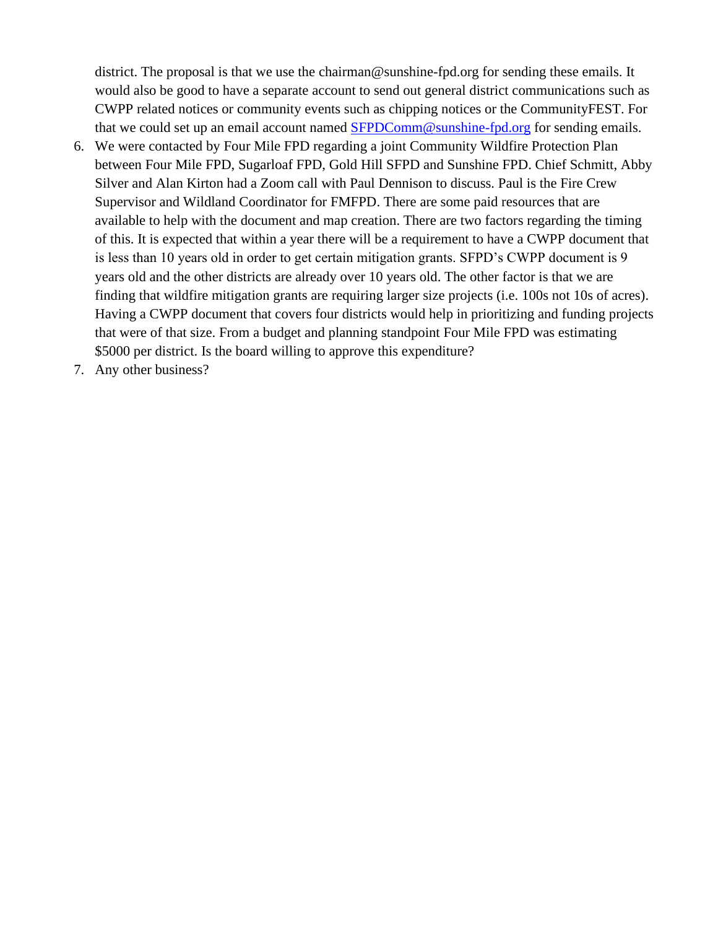district. The proposal is that we use the chairman@sunshine-fpd.org for sending these emails. It would also be good to have a separate account to send out general district communications such as CWPP related notices or community events such as chipping notices or the CommunityFEST. For that we could set up an email account named [SFPDComm@sunshine-fpd.org](mailto:SFPDComm@sunshine-fpd.org) for sending emails.

- 6. We were contacted by Four Mile FPD regarding a joint Community Wildfire Protection Plan between Four Mile FPD, Sugarloaf FPD, Gold Hill SFPD and Sunshine FPD. Chief Schmitt, Abby Silver and Alan Kirton had a Zoom call with Paul Dennison to discuss. Paul is the Fire Crew Supervisor and Wildland Coordinator for FMFPD. There are some paid resources that are available to help with the document and map creation. There are two factors regarding the timing of this. It is expected that within a year there will be a requirement to have a CWPP document that is less than 10 years old in order to get certain mitigation grants. SFPD's CWPP document is 9 years old and the other districts are already over 10 years old. The other factor is that we are finding that wildfire mitigation grants are requiring larger size projects (i.e. 100s not 10s of acres). Having a CWPP document that covers four districts would help in prioritizing and funding projects that were of that size. From a budget and planning standpoint Four Mile FPD was estimating \$5000 per district. Is the board willing to approve this expenditure?
- 7. Any other business?